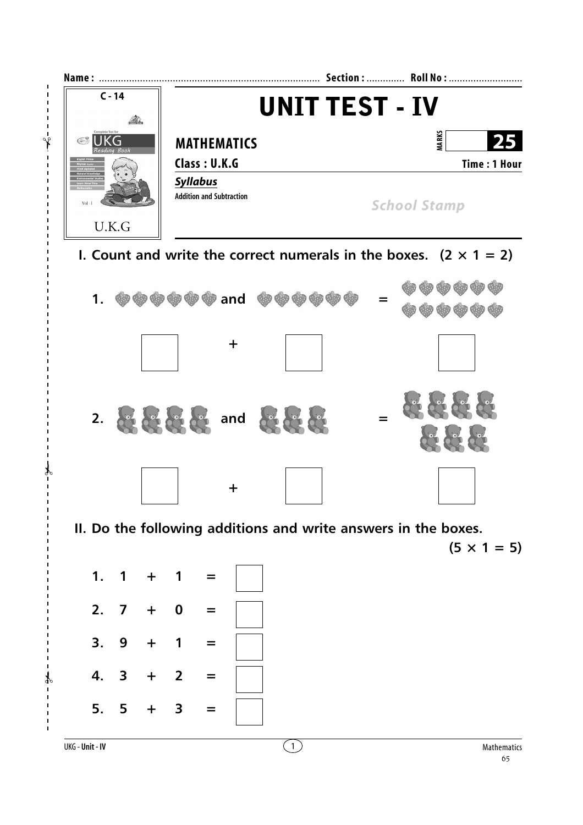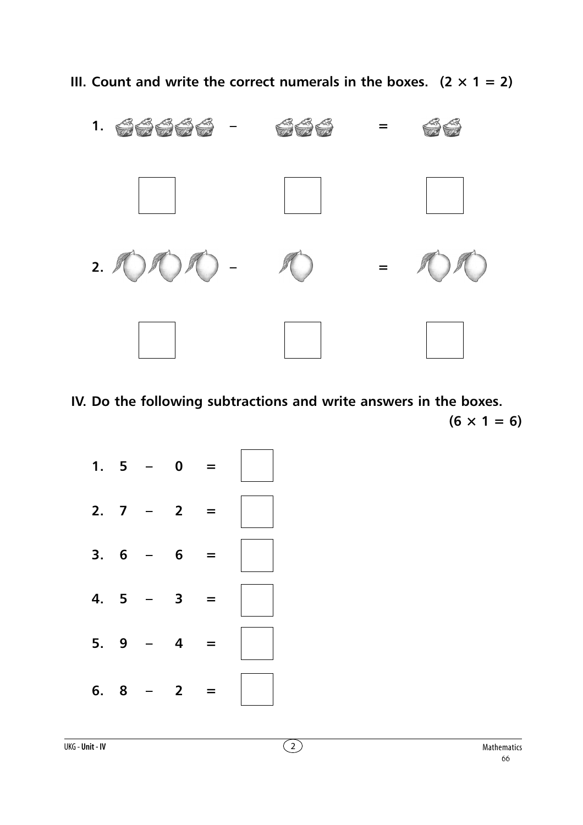**III.** Count and write the correct numerals in the boxes.  $(2 \times 1 = 2)$ 



**IV. Do the following subtractions and write answers in the boxes.**  $(6 \times 1 = 6)$